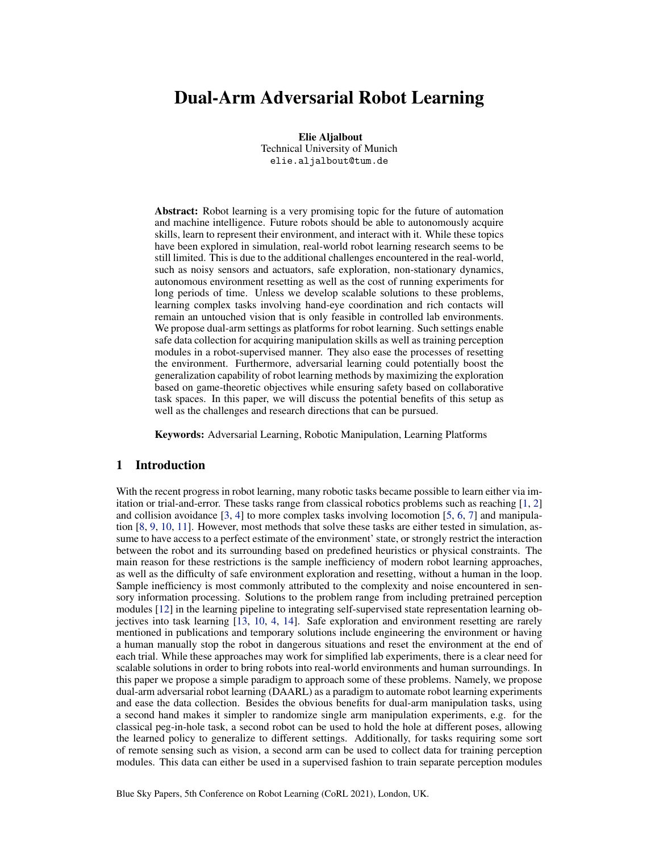# Dual-Arm Adversarial Robot Learning

Elie Aljalbout Technical University of Munich elie.aljalbout@tum.de

Abstract: Robot learning is a very promising topic for the future of automation and machine intelligence. Future robots should be able to autonomously acquire skills, learn to represent their environment, and interact with it. While these topics have been explored in simulation, real-world robot learning research seems to be still limited. This is due to the additional challenges encountered in the real-world, such as noisy sensors and actuators, safe exploration, non-stationary dynamics, autonomous environment resetting as well as the cost of running experiments for long periods of time. Unless we develop scalable solutions to these problems, learning complex tasks involving hand-eye coordination and rich contacts will remain an untouched vision that is only feasible in controlled lab environments. We propose dual-arm settings as platforms for robot learning. Such settings enable safe data collection for acquiring manipulation skills as well as training perception modules in a robot-supervised manner. They also ease the processes of resetting the environment. Furthermore, adversarial learning could potentially boost the generalization capability of robot learning methods by maximizing the exploration based on game-theoretic objectives while ensuring safety based on collaborative task spaces. In this paper, we will discuss the potential benefits of this setup as well as the challenges and research directions that can be pursued.

Keywords: Adversarial Learning, Robotic Manipulation, Learning Platforms

# 1 Introduction

With the recent progress in robot learning, many robotic tasks became possible to learn either via imitation or trial-and-error. These tasks range from classical robotics problems such as reaching [\[1,](#page-4-0) [2\]](#page-4-0) and collision avoidance [\[3,](#page-4-0) [4\]](#page-4-0) to more complex tasks involving locomotion [\[5,](#page-4-0) [6,](#page-4-0) [7\]](#page-4-0) and manipulation [\[8,](#page-4-0) [9,](#page-4-0) [10,](#page-4-0) [11\]](#page-4-0). However, most methods that solve these tasks are either tested in simulation, assume to have access to a perfect estimate of the environment' state, or strongly restrict the interaction between the robot and its surrounding based on predefined heuristics or physical constraints. The main reason for these restrictions is the sample inefficiency of modern robot learning approaches, as well as the difficulty of safe environment exploration and resetting, without a human in the loop. Sample inefficiency is most commonly attributed to the complexity and noise encountered in sensory information processing. Solutions to the problem range from including pretrained perception modules [\[12\]](#page-4-0) in the learning pipeline to integrating self-supervised state representation learning objectives into task learning [\[13,](#page-4-0) [10,](#page-4-0) [4,](#page-4-0) [14\]](#page-4-0). Safe exploration and environment resetting are rarely mentioned in publications and temporary solutions include engineering the environment or having a human manually stop the robot in dangerous situations and reset the environment at the end of each trial. While these approaches may work for simplified lab experiments, there is a clear need for scalable solutions in order to bring robots into real-world environments and human surroundings. In this paper we propose a simple paradigm to approach some of these problems. Namely, we propose dual-arm adversarial robot learning (DAARL) as a paradigm to automate robot learning experiments and ease the data collection. Besides the obvious benefits for dual-arm manipulation tasks, using a second hand makes it simpler to randomize single arm manipulation experiments, e.g. for the classical peg-in-hole task, a second robot can be used to hold the hole at different poses, allowing the learned policy to generalize to different settings. Additionally, for tasks requiring some sort of remote sensing such as vision, a second arm can be used to collect data for training perception modules. This data can either be used in a supervised fashion to train separate perception modules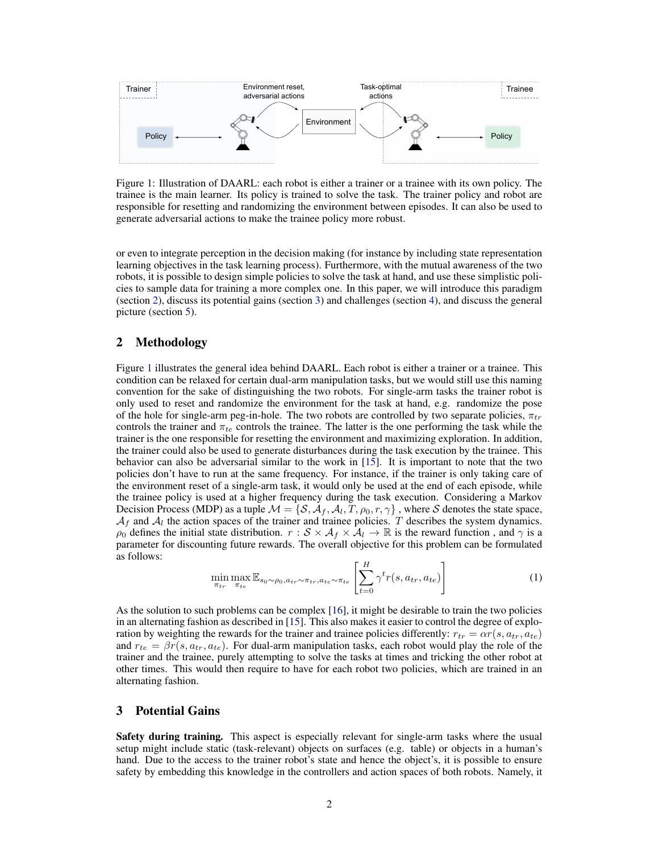<span id="page-1-0"></span>

Figure 1: Illustration of DAARL: each robot is either a trainer or a trainee with its own policy. The trainee is the main learner. Its policy is trained to solve the task. The trainer policy and robot are responsible for resetting and randomizing the environment between episodes. It can also be used to generate adversarial actions to make the trainee policy more robust.

or even to integrate perception in the decision making (for instance by including state representation learning objectives in the task learning process). Furthermore, with the mutual awareness of the two robots, it is possible to design simple policies to solve the task at hand, and use these simplistic policies to sample data for training a more complex one. In this paper, we will introduce this paradigm (section 2), discuss its potential gains (section 3) and challenges (section [4\)](#page-3-0), and discuss the general picture (section [5\)](#page-3-0).

# 2 Methodology

Figure 1 illustrates the general idea behind DAARL. Each robot is either a trainer or a trainee. This condition can be relaxed for certain dual-arm manipulation tasks, but we would still use this naming convention for the sake of distinguishing the two robots. For single-arm tasks the trainer robot is only used to reset and randomize the environment for the task at hand, e.g. randomize the pose of the hole for single-arm peg-in-hole. The two robots are controlled by two separate policies,  $\pi_{tr}$ controls the trainer and  $\pi_{te}$  controls the trainee. The latter is the one performing the task while the trainer is the one responsible for resetting the environment and maximizing exploration. In addition, the trainer could also be used to generate disturbances during the task execution by the trainee. This behavior can also be adversarial similar to the work in [\[15\]](#page-4-0). It is important to note that the two policies don't have to run at the same frequency. For instance, if the trainer is only taking care of the environment reset of a single-arm task, it would only be used at the end of each episode, while the trainee policy is used at a higher frequency during the task execution. Considering a Markov Decision Process (MDP) as a tuple  $\mathcal{M} = \{S, A_f, A_l, T, \rho_0, r, \gamma\}$ , where S denotes the state space,  $A_f$  and  $A_l$  the action spaces of the trainer and trainee policies. T describes the system dynamics.  $ρ_0$  defines the initial state distribution.  $r : S \times A_f \times A_l \to \mathbb{R}$  is the reward function, and  $γ$  is a parameter for discounting future rewards. The overall objective for this problem can be formulated as follows:

$$
\min_{\pi_{tr}} \max_{\pi_{te}} \mathbb{E}_{s_0 \sim \rho_0, a_{tr} \sim \pi_{tr}, a_{te} \sim \pi_{te}} \left[ \sum_{t=0}^{H} \gamma^t r(s, a_{tr}, a_{te}) \right]
$$
(1)

As the solution to such problems can be complex [\[16\]](#page-4-0), it might be desirable to train the two policies in an alternating fashion as described in [\[15\]](#page-4-0). This also makes it easier to control the degree of exploration by weighting the rewards for the trainer and trainee policies differently:  $r_{tr} = \alpha r(s, a_{tr}, a_{te})$ and  $r_{te} = \beta r(s, a_{tr}, a_{te})$ . For dual-arm manipulation tasks, each robot would play the role of the trainer and the trainee, purely attempting to solve the tasks at times and tricking the other robot at other times. This would then require to have for each robot two policies, which are trained in an alternating fashion.

# 3 Potential Gains

Safety during training. This aspect is especially relevant for single-arm tasks where the usual setup might include static (task-relevant) objects on surfaces (e.g. table) or objects in a human's hand. Due to the access to the trainer robot's state and hence the object's, it is possible to ensure safety by embedding this knowledge in the controllers and action spaces of both robots. Namely, it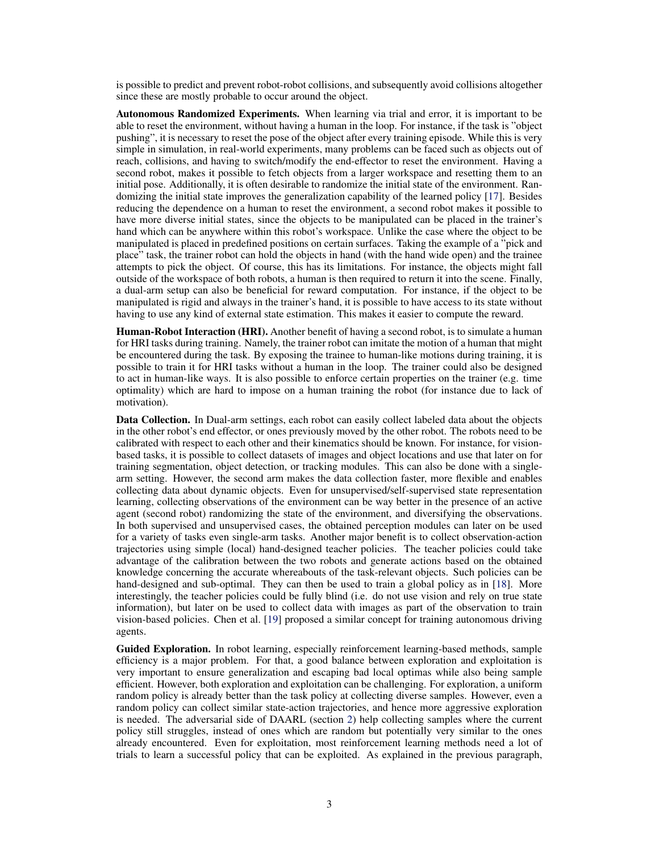is possible to predict and prevent robot-robot collisions, and subsequently avoid collisions altogether since these are mostly probable to occur around the object.

Autonomous Randomized Experiments. When learning via trial and error, it is important to be able to reset the environment, without having a human in the loop. For instance, if the task is "object pushing", it is necessary to reset the pose of the object after every training episode. While this is very simple in simulation, in real-world experiments, many problems can be faced such as objects out of reach, collisions, and having to switch/modify the end-effector to reset the environment. Having a second robot, makes it possible to fetch objects from a larger workspace and resetting them to an initial pose. Additionally, it is often desirable to randomize the initial state of the environment. Randomizing the initial state improves the generalization capability of the learned policy [\[17\]](#page-5-0). Besides reducing the dependence on a human to reset the environment, a second robot makes it possible to have more diverse initial states, since the objects to be manipulated can be placed in the trainer's hand which can be anywhere within this robot's workspace. Unlike the case where the object to be manipulated is placed in predefined positions on certain surfaces. Taking the example of a "pick and place" task, the trainer robot can hold the objects in hand (with the hand wide open) and the trainee attempts to pick the object. Of course, this has its limitations. For instance, the objects might fall outside of the workspace of both robots, a human is then required to return it into the scene. Finally, a dual-arm setup can also be beneficial for reward computation. For instance, if the object to be manipulated is rigid and always in the trainer's hand, it is possible to have access to its state without having to use any kind of external state estimation. This makes it easier to compute the reward.

Human-Robot Interaction (HRI). Another benefit of having a second robot, is to simulate a human for HRI tasks during training. Namely, the trainer robot can imitate the motion of a human that might be encountered during the task. By exposing the trainee to human-like motions during training, it is possible to train it for HRI tasks without a human in the loop. The trainer could also be designed to act in human-like ways. It is also possible to enforce certain properties on the trainer (e.g. time optimality) which are hard to impose on a human training the robot (for instance due to lack of motivation).

Data Collection. In Dual-arm settings, each robot can easily collect labeled data about the objects in the other robot's end effector, or ones previously moved by the other robot. The robots need to be calibrated with respect to each other and their kinematics should be known. For instance, for visionbased tasks, it is possible to collect datasets of images and object locations and use that later on for training segmentation, object detection, or tracking modules. This can also be done with a singlearm setting. However, the second arm makes the data collection faster, more flexible and enables collecting data about dynamic objects. Even for unsupervised/self-supervised state representation learning, collecting observations of the environment can be way better in the presence of an active agent (second robot) randomizing the state of the environment, and diversifying the observations. In both supervised and unsupervised cases, the obtained perception modules can later on be used for a variety of tasks even single-arm tasks. Another major benefit is to collect observation-action trajectories using simple (local) hand-designed teacher policies. The teacher policies could take advantage of the calibration between the two robots and generate actions based on the obtained knowledge concerning the accurate whereabouts of the task-relevant objects. Such policies can be hand-designed and sub-optimal. They can then be used to train a global policy as in [\[18\]](#page-5-0). More interestingly, the teacher policies could be fully blind (i.e. do not use vision and rely on true state information), but later on be used to collect data with images as part of the observation to train vision-based policies. Chen et al. [\[19\]](#page-5-0) proposed a similar concept for training autonomous driving agents.

Guided Exploration. In robot learning, especially reinforcement learning-based methods, sample efficiency is a major problem. For that, a good balance between exploration and exploitation is very important to ensure generalization and escaping bad local optimas while also being sample efficient. However, both exploration and exploitation can be challenging. For exploration, a uniform random policy is already better than the task policy at collecting diverse samples. However, even a random policy can collect similar state-action trajectories, and hence more aggressive exploration is needed. The adversarial side of DAARL (section [2\)](#page-1-0) help collecting samples where the current policy still struggles, instead of ones which are random but potentially very similar to the ones already encountered. Even for exploitation, most reinforcement learning methods need a lot of trials to learn a successful policy that can be exploited. As explained in the previous paragraph,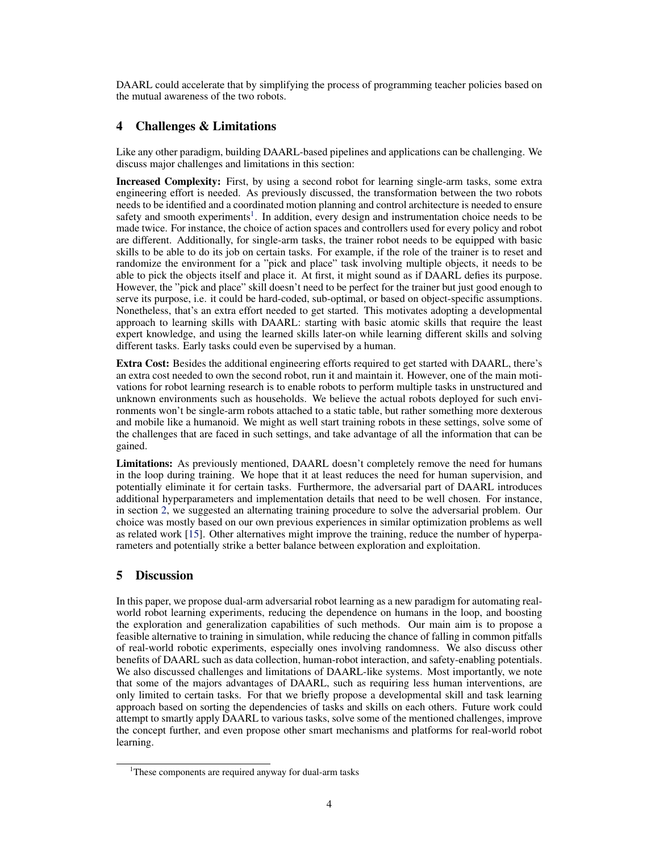<span id="page-3-0"></span>DAARL could accelerate that by simplifying the process of programming teacher policies based on the mutual awareness of the two robots.

# 4 Challenges & Limitations

Like any other paradigm, building DAARL-based pipelines and applications can be challenging. We discuss major challenges and limitations in this section:

Increased Complexity: First, by using a second robot for learning single-arm tasks, some extra engineering effort is needed. As previously discussed, the transformation between the two robots needs to be identified and a coordinated motion planning and control architecture is needed to ensure safety and smooth experiments<sup>1</sup>. In addition, every design and instrumentation choice needs to be made twice. For instance, the choice of action spaces and controllers used for every policy and robot are different. Additionally, for single-arm tasks, the trainer robot needs to be equipped with basic skills to be able to do its job on certain tasks. For example, if the role of the trainer is to reset and randomize the environment for a "pick and place" task involving multiple objects, it needs to be able to pick the objects itself and place it. At first, it might sound as if DAARL defies its purpose. However, the "pick and place" skill doesn't need to be perfect for the trainer but just good enough to serve its purpose, i.e. it could be hard-coded, sub-optimal, or based on object-specific assumptions. Nonetheless, that's an extra effort needed to get started. This motivates adopting a developmental approach to learning skills with DAARL: starting with basic atomic skills that require the least expert knowledge, and using the learned skills later-on while learning different skills and solving different tasks. Early tasks could even be supervised by a human.

Extra Cost: Besides the additional engineering efforts required to get started with DAARL, there's an extra cost needed to own the second robot, run it and maintain it. However, one of the main motivations for robot learning research is to enable robots to perform multiple tasks in unstructured and unknown environments such as households. We believe the actual robots deployed for such environments won't be single-arm robots attached to a static table, but rather something more dexterous and mobile like a humanoid. We might as well start training robots in these settings, solve some of the challenges that are faced in such settings, and take advantage of all the information that can be gained.

Limitations: As previously mentioned, DAARL doesn't completely remove the need for humans in the loop during training. We hope that it at least reduces the need for human supervision, and potentially eliminate it for certain tasks. Furthermore, the adversarial part of DAARL introduces additional hyperparameters and implementation details that need to be well chosen. For instance, in section [2,](#page-1-0) we suggested an alternating training procedure to solve the adversarial problem. Our choice was mostly based on our own previous experiences in similar optimization problems as well as related work [\[15\]](#page-4-0). Other alternatives might improve the training, reduce the number of hyperparameters and potentially strike a better balance between exploration and exploitation.

# 5 Discussion

In this paper, we propose dual-arm adversarial robot learning as a new paradigm for automating realworld robot learning experiments, reducing the dependence on humans in the loop, and boosting the exploration and generalization capabilities of such methods. Our main aim is to propose a feasible alternative to training in simulation, while reducing the chance of falling in common pitfalls of real-world robotic experiments, especially ones involving randomness. We also discuss other benefits of DAARL such as data collection, human-robot interaction, and safety-enabling potentials. We also discussed challenges and limitations of DAARL-like systems. Most importantly, we note that some of the majors advantages of DAARL, such as requiring less human interventions, are only limited to certain tasks. For that we briefly propose a developmental skill and task learning approach based on sorting the dependencies of tasks and skills on each others. Future work could attempt to smartly apply DAARL to various tasks, solve some of the mentioned challenges, improve the concept further, and even propose other smart mechanisms and platforms for real-world robot learning.

<sup>&</sup>lt;sup>1</sup>These components are required anyway for dual-arm tasks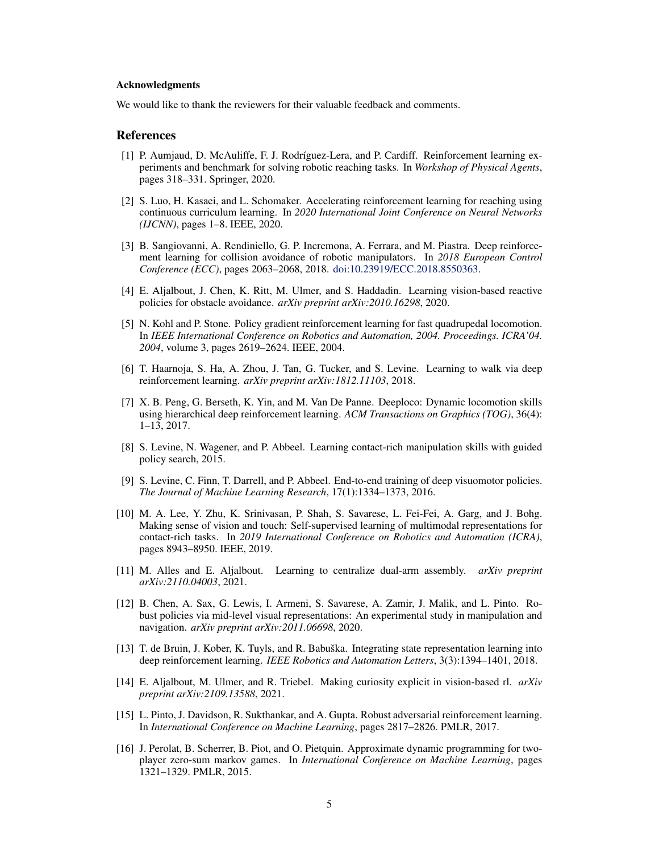#### <span id="page-4-0"></span>Acknowledgments

We would like to thank the reviewers for their valuable feedback and comments.

#### References

- [1] P. Aumjaud, D. McAuliffe, F. J. Rodríguez-Lera, and P. Cardiff. Reinforcement learning experiments and benchmark for solving robotic reaching tasks. In *Workshop of Physical Agents*, pages 318–331. Springer, 2020.
- [2] S. Luo, H. Kasaei, and L. Schomaker. Accelerating reinforcement learning for reaching using continuous curriculum learning. In *2020 International Joint Conference on Neural Networks (IJCNN)*, pages 1–8. IEEE, 2020.
- [3] B. Sangiovanni, A. Rendiniello, G. P. Incremona, A. Ferrara, and M. Piastra. Deep reinforcement learning for collision avoidance of robotic manipulators. In *2018 European Control Conference (ECC)*, pages 2063–2068, 2018. [doi:10.23919/ECC.2018.8550363.](http://dx.doi.org/10.23919/ECC.2018.8550363)
- [4] E. Aljalbout, J. Chen, K. Ritt, M. Ulmer, and S. Haddadin. Learning vision-based reactive policies for obstacle avoidance. *arXiv preprint arXiv:2010.16298*, 2020.
- [5] N. Kohl and P. Stone. Policy gradient reinforcement learning for fast quadrupedal locomotion. In *IEEE International Conference on Robotics and Automation, 2004. Proceedings. ICRA'04. 2004*, volume 3, pages 2619–2624. IEEE, 2004.
- [6] T. Haarnoja, S. Ha, A. Zhou, J. Tan, G. Tucker, and S. Levine. Learning to walk via deep reinforcement learning. *arXiv preprint arXiv:1812.11103*, 2018.
- [7] X. B. Peng, G. Berseth, K. Yin, and M. Van De Panne. Deeploco: Dynamic locomotion skills using hierarchical deep reinforcement learning. *ACM Transactions on Graphics (TOG)*, 36(4): 1–13, 2017.
- [8] S. Levine, N. Wagener, and P. Abbeel. Learning contact-rich manipulation skills with guided policy search, 2015.
- [9] S. Levine, C. Finn, T. Darrell, and P. Abbeel. End-to-end training of deep visuomotor policies. *The Journal of Machine Learning Research*, 17(1):1334–1373, 2016.
- [10] M. A. Lee, Y. Zhu, K. Srinivasan, P. Shah, S. Savarese, L. Fei-Fei, A. Garg, and J. Bohg. Making sense of vision and touch: Self-supervised learning of multimodal representations for contact-rich tasks. In *2019 International Conference on Robotics and Automation (ICRA)*, pages 8943–8950. IEEE, 2019.
- [11] M. Alles and E. Aljalbout. Learning to centralize dual-arm assembly. *arXiv preprint arXiv:2110.04003*, 2021.
- [12] B. Chen, A. Sax, G. Lewis, I. Armeni, S. Savarese, A. Zamir, J. Malik, and L. Pinto. Robust policies via mid-level visual representations: An experimental study in manipulation and navigation. *arXiv preprint arXiv:2011.06698*, 2020.
- [13] T. de Bruin, J. Kober, K. Tuyls, and R. Babuška. Integrating state representation learning into deep reinforcement learning. *IEEE Robotics and Automation Letters*, 3(3):1394–1401, 2018.
- [14] E. Aljalbout, M. Ulmer, and R. Triebel. Making curiosity explicit in vision-based rl. *arXiv preprint arXiv:2109.13588*, 2021.
- [15] L. Pinto, J. Davidson, R. Sukthankar, and A. Gupta. Robust adversarial reinforcement learning. In *International Conference on Machine Learning*, pages 2817–2826. PMLR, 2017.
- [16] J. Perolat, B. Scherrer, B. Piot, and O. Pietquin. Approximate dynamic programming for twoplayer zero-sum markov games. In *International Conference on Machine Learning*, pages 1321–1329. PMLR, 2015.